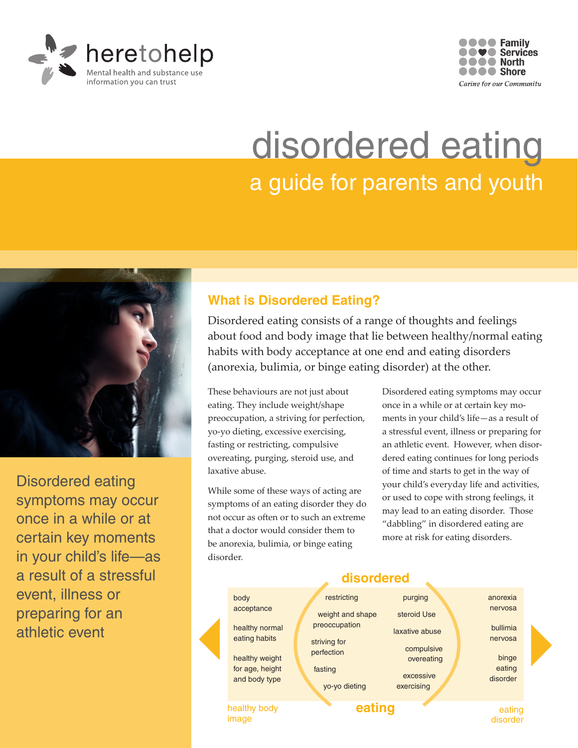



# disordered eating a guide for parents and youth



Disordered eating symptoms may occur once in a while or at certain key moments in your child's life—as a result of a stressful event, illness or preparing for an athletic event

### **What is Disordered Eating?**

Disordered eating consists of a range of thoughts and feelings about food and body image that lie between healthy/normal eating habits with body acceptance at one end and eating disorders (anorexia, bulimia, or binge eating disorder) at the other.

These behaviours are not just about eating. They include weight/shape preoccupation, a striving for perfection, yo-yo dieting, excessive exercising, fasting or restricting, compulsive overeating, purging, steroid use, and laxative abuse.

While some of these ways of acting are symptoms of an eating disorder they do not occur as often or to such an extreme that a doctor would consider them to be anorexia, bulimia, or binge eating disorder.

Disordered eating symptoms may occur once in a while or at certain key moments in your child's life—as a result of a stressful event, illness or preparing for an athletic event. However, when disordered eating continues for long periods of time and starts to get in the way of your child's everyday life and activities, or used to cope with strong feelings, it may lead to an eating disorder. Those "dabbling" in disordered eating are more at risk for eating disorders.